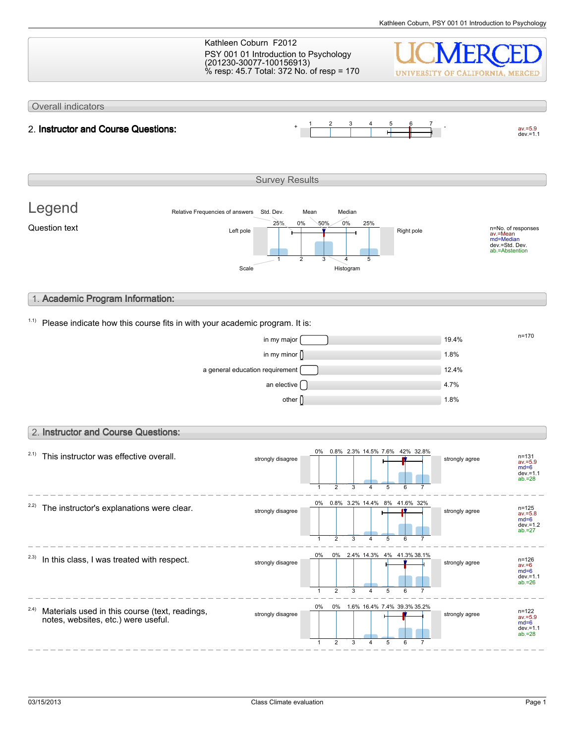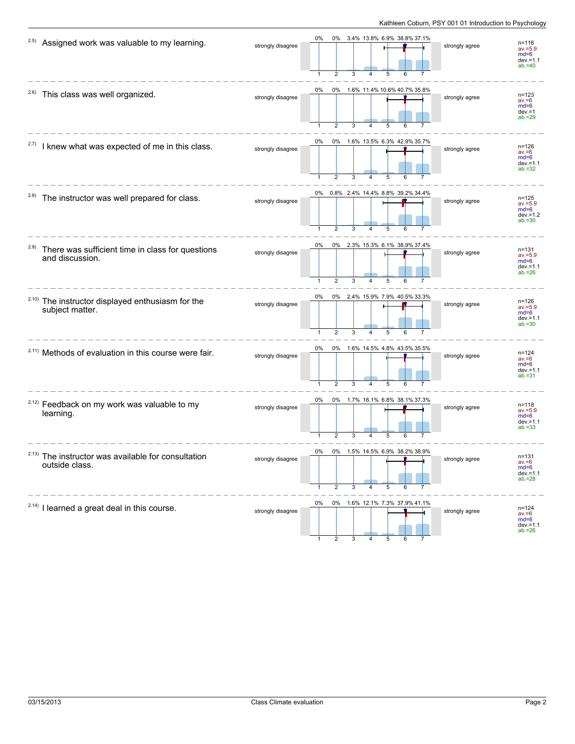| 2.5)<br>Assigned work was valuable to my learning.                          | strongly disagree | 0% 3.4% 13.8% 6.9% 38.8% 37.1%<br>0%<br>5                                                    | strongly agree | $n = 116$<br>$av = 5.9$<br>$md=6$<br>$dev = 1.1$<br>$ab = 40$ |
|-----------------------------------------------------------------------------|-------------------|----------------------------------------------------------------------------------------------|----------------|---------------------------------------------------------------|
| 2.6)<br>This class was well organized.                                      | strongly disagree | 0% 1.6% 11.4% 10.6% 40.7% 35.8%<br>0%<br>$\overline{2}$<br>3<br>5<br>6                       | strongly agree | $n = 123$<br>$av = 6$<br>$md=6$<br>$dev = 1$<br>$ab = 29$     |
| 2.7)<br>I knew what was expected of me in this class.                       | strongly disagree | 0%<br>0% 1.6% 13.5% 6.3% 42.9% 35.7%<br>5                                                    | strongly agree | $n = 126$<br>$av = 6$<br>$md=6$<br>$dev.=1.1$<br>$ab = 32$    |
| <sup>2.8)</sup> The instructor was well prepared for class.                 | strongly disagree | 0% 0.8% 2.4% 14.4% 8.8% 39.2% 34.4%<br>4<br>5                                                | strongly agree | $n = 125$<br>$av = 5.9$<br>$md=6$<br>$dev = 1.2$<br>$ab = 30$ |
| 2.9)<br>There was sufficient time in class for questions<br>and discussion. | strongly disagree | 0% 2.3% 15.3% 6.1% 38.9% 37.4%<br>0%<br>$\overline{1}$<br>$\overline{2}$<br>3<br>5<br>6<br>4 | strongly agree | $n = 131$<br>$av = 5.9$<br>$md=6$<br>$dev = 1.1$<br>$ab = 26$ |
| 2.10)<br>The instructor displayed enthusiasm for the<br>subject matter.     | strongly disagree | 0% 2.4% 15.9% 7.9% 40.5% 33.3%<br>0%<br>$\overline{2}$<br>$\mathbf{1}$<br>3<br>4<br>5        | strongly agree | $n = 126$<br>$av = 5.9$<br>$md=6$<br>$dev = 1.1$<br>$ab = 30$ |
| <sup>2.11)</sup> Methods of evaluation in this course were fair.            | strongly disagree | 0% 1.6% 14.5% 4.8% 43.5% 35.5%<br>0%<br>2<br>5                                               | strongly agree | $n = 124$<br>$av = 6$<br>$md=6$<br>$dev = 1.1$<br>$ab = 31$   |
| <sup>2.12)</sup> Feedback on my work was valuable to my<br>learning.        | strongly disagree | 0% 1.7% 16.1% 6.8% 38.1% 37.3%<br>0%<br>5<br>6                                               | strongly agree | n=118<br>$av = 5.9$<br>$md=6$<br>$dev = 1.1$<br>$ab = 33$     |
| 2.13)<br>The instructor was available for consultation<br>outside class.    | strongly disagree | $0\%$<br>$0\%$<br>1.5%<br>14.5%<br>6.9% 38.2%<br>38.9%<br>2<br>3<br>5<br>4                   | strongly agree | $n = 131$<br>$av = 6$<br>$md=6$<br>$dev = 1.1$<br>$ab = 28$   |
| $2.14$ ) I learned a great deal in this course.                             | strongly disagree | 0% 1.6% 12.1% 7.3% 37.9% 41.1%<br>0%                                                         | strongly agree | $n = 124$<br>$av = 6$<br>$md=6$<br>$dev = 1.1$<br>$ab = 26$   |

1 2 3 4 5 6 7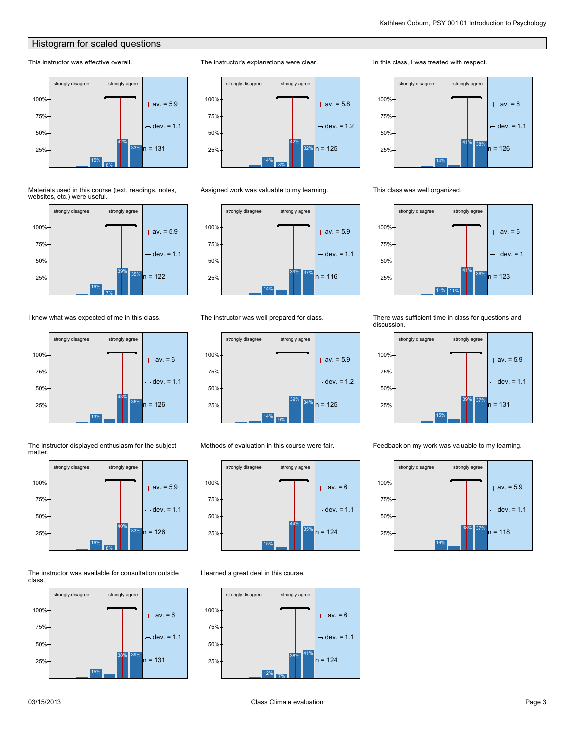#### **Histogram for scaled questions**

#### This instructor was effective overall.



Materials used in this course (text, readings, notes, websites, etc.) were useful.



I knew what was expected of me in this class.







#### The instructor was available for consultation outside class.





Assigned work was valuable to my learning.

The instructor's explanations were clear.



The instructor was well prepared for class.



Methods of evaluation in this course were fair.



I learned a great deal in this course.



In this class, I was treated with respect.



This class was well organized.



There was sufficient time in class for questions and discussion.



Feedback on my work was valuable to my learning.

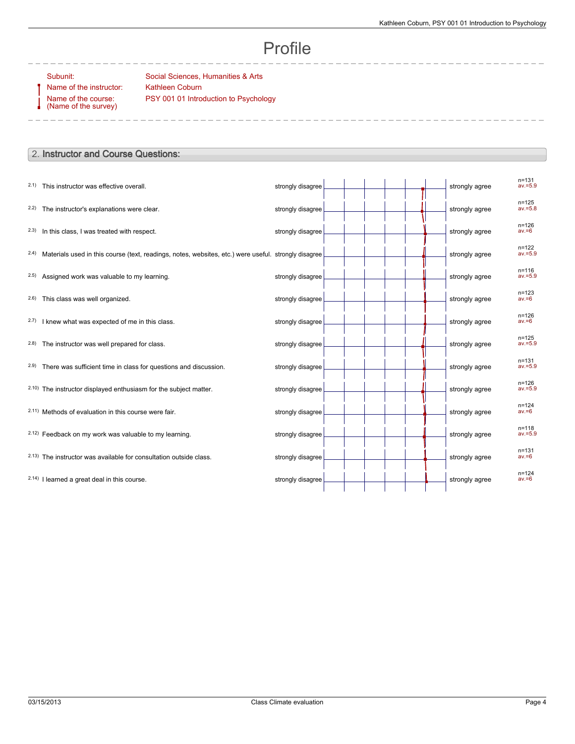#### Profile

Name of the instructor: Kathleen Coburn Name of the course: (Name of the survey)

Subunit: Social Sciences, Humanities & Arts PSY 001 01 Introduction to Psychology

#### 2. **Instructor and Course Questions:**

| 2.1) This instructor was effective overall.                                                               | strongly disagree |  | strongly agree | $n = 131$<br>$av = 5.9$ |
|-----------------------------------------------------------------------------------------------------------|-------------------|--|----------------|-------------------------|
| 2.2) The instructor's explanations were clear.                                                            | strongly disagree |  | strongly agree | $n = 125$<br>$av = 5.8$ |
| 2.3) In this class, I was treated with respect.                                                           | strongly disagree |  | strongly agree | $n = 126$<br>$av = 6$   |
| 2.4) Materials used in this course (text, readings, notes, websites, etc.) were useful. strongly disagree |                   |  | strongly agree | $n = 122$<br>$av = 5.9$ |
| 2.5) Assigned work was valuable to my learning.                                                           | strongly disagree |  | strongly agree | $n = 116$<br>$av = 5.9$ |
| 2.6) This class was well organized.                                                                       | strongly disagree |  | strongly agree | $n = 123$<br>$av = 6$   |
| 2.7) I knew what was expected of me in this class.                                                        | strongly disagree |  | strongly agree | $n = 126$<br>$av = 6$   |
| 2.8) The instructor was well prepared for class.                                                          | strongly disagree |  | strongly agree | $n = 125$<br>$av = 5.9$ |
| 2.9) There was sufficient time in class for questions and discussion.                                     | strongly disagree |  | strongly agree | $n = 131$<br>$av = 5.9$ |
| 2.10) The instructor displayed enthusiasm for the subject matter.                                         | strongly disagree |  | strongly agree | $n = 126$<br>$av = 5.9$ |
| 2.11) Methods of evaluation in this course were fair.                                                     | strongly disagree |  | strongly agree | $n = 124$<br>$av = 6$   |
| 2.12) Feedback on my work was valuable to my learning.                                                    | strongly disagree |  | strongly agree | $n = 118$<br>$av = 5.9$ |
| 2.13) The instructor was available for consultation outside class.                                        | strongly disagree |  | strongly agree | $n = 131$<br>$av = 6$   |
| 2.14) I learned a great deal in this course.                                                              | strongly disagree |  | strongly agree | $n = 124$<br>$av = 6$   |
|                                                                                                           |                   |  |                |                         |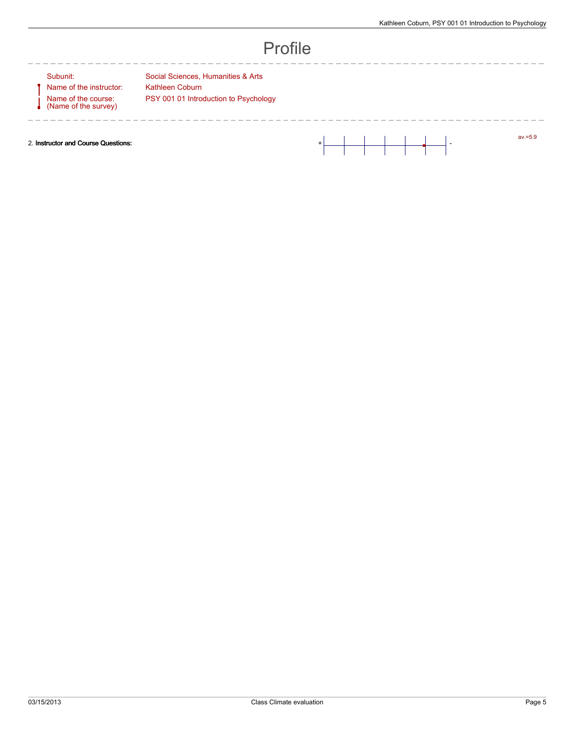#### Profile

 $- - - -$ 

Name of the course: (Name of the survey)

---------

Subunit: Social Sciences, Humanities & Arts Name of the instructor: Kathleen Coburn PSY 001 01 Introduction to Psychology

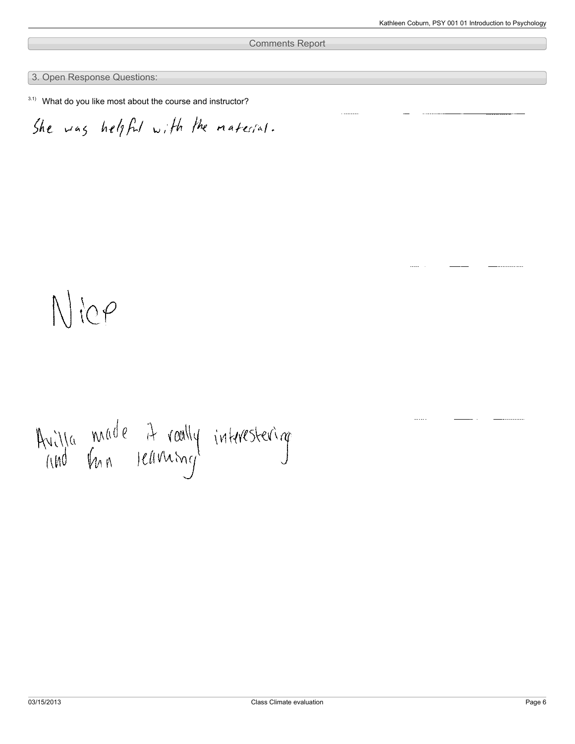Comments Report

3. Open Response Questions:

 $3.1)$  What do you like most about the course and instructor?

She was helpful with the material.

## $N$  ic p

# Avilla made it roally interestering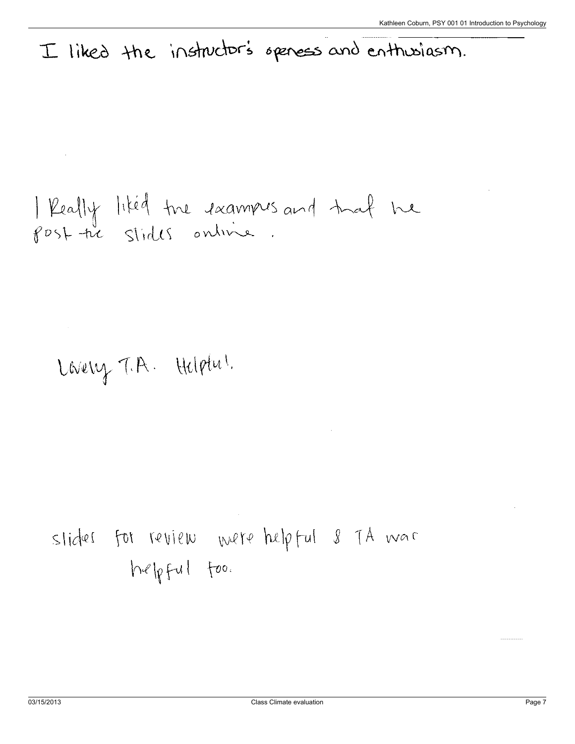### I liked the instructor's speness and enthusiasm.

| Really liked the examples and that he<br>post the stides online.

Lovery T.A. Helptu!

slides for review were helpful 8 TA was  $h\ll pfu1$  foo.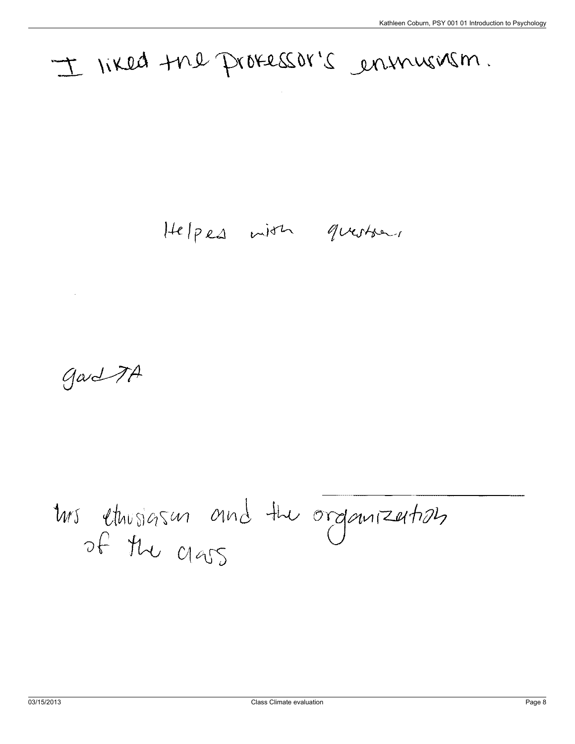### I liked the protessor's ensurism.

Helpes with questions

gard TA

tus ethnologism and the organization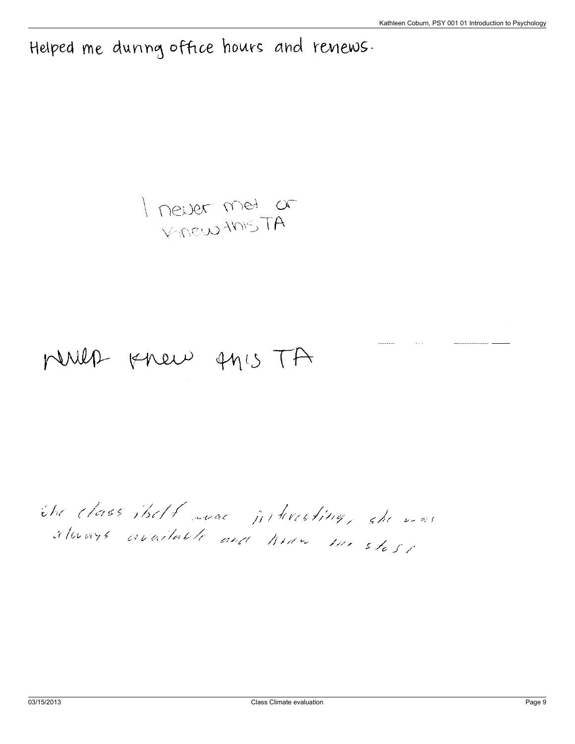Helped me dunng office hours and renews.

I never met or

### MUIL Knew AMIS TA

the class itself was jirteresting, she was always available and heavy the shear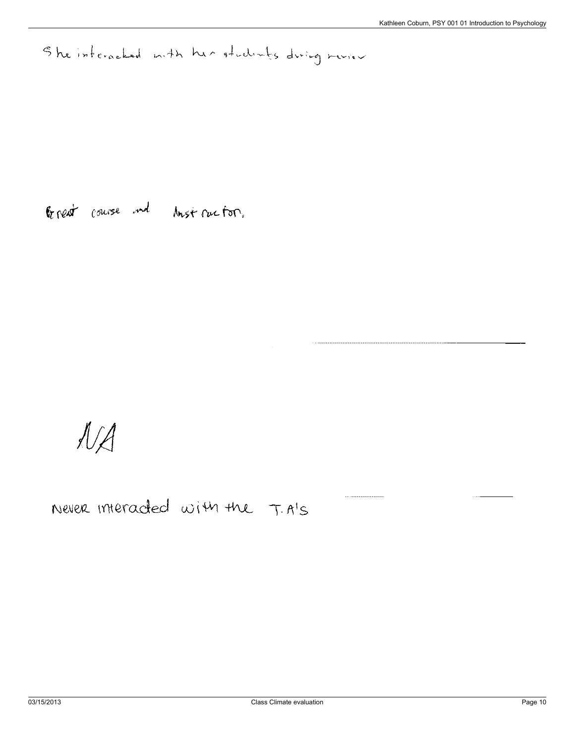She interacted mith her students during meries

General course and longt rue for.

 $\mathcal{N}$ 

Never interacted with the T.A's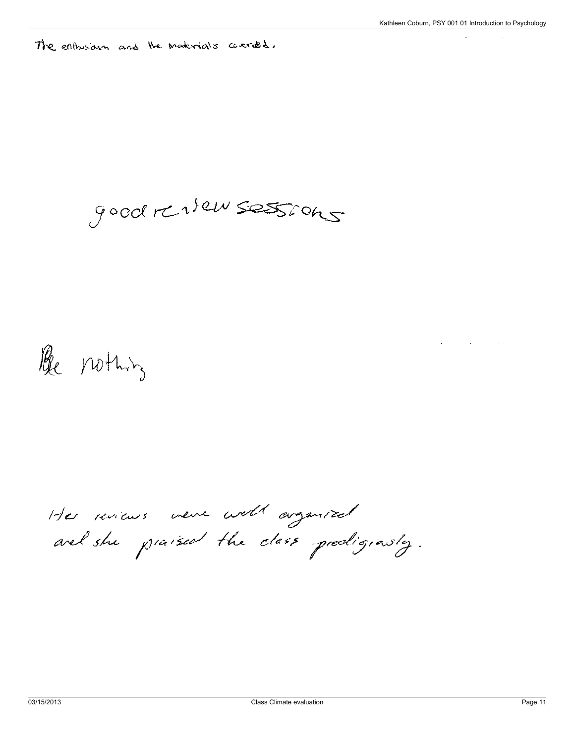The enthosiasm and the materials courted.

good renser sessions

Be nothing

Her minus ver well arganized arel she praised the class predigionsly.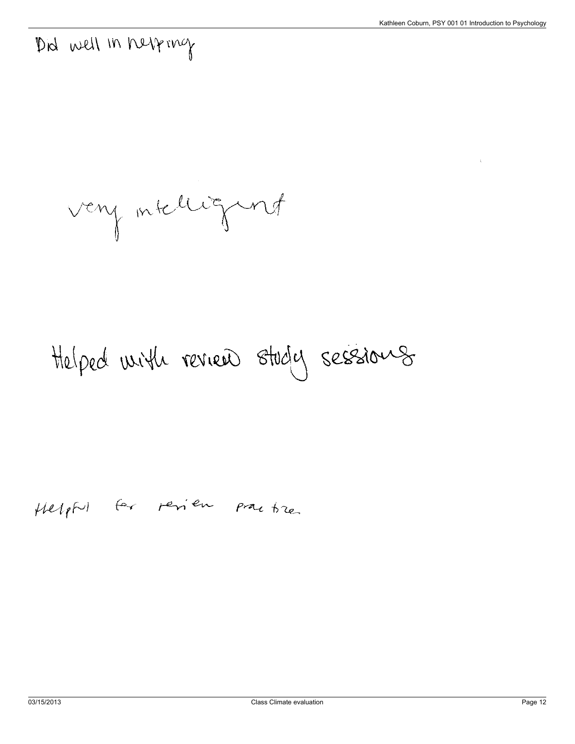### Did well in helping

very intelligent

## Helped with review study sessions

#### Helpful for perieu practice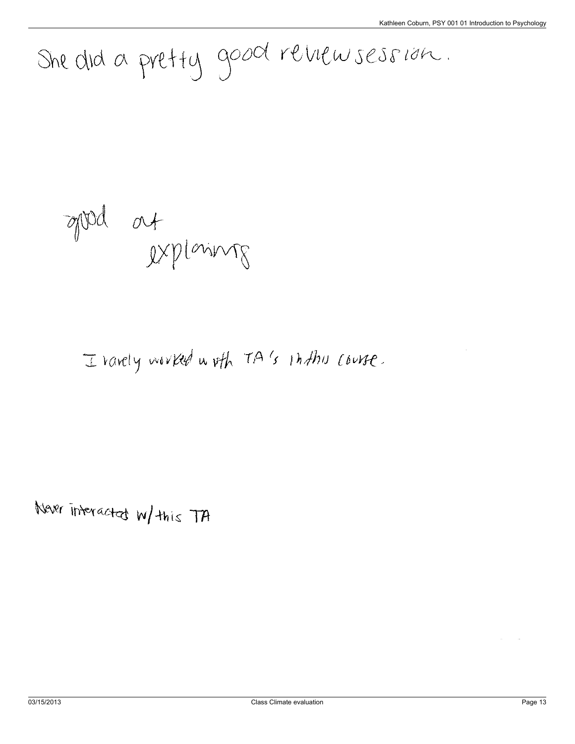She did a pretty good reviewsession.

appel at<br>Ixplaining

I ravely worked woth TA's inthu course.

Never interacted w/ this TA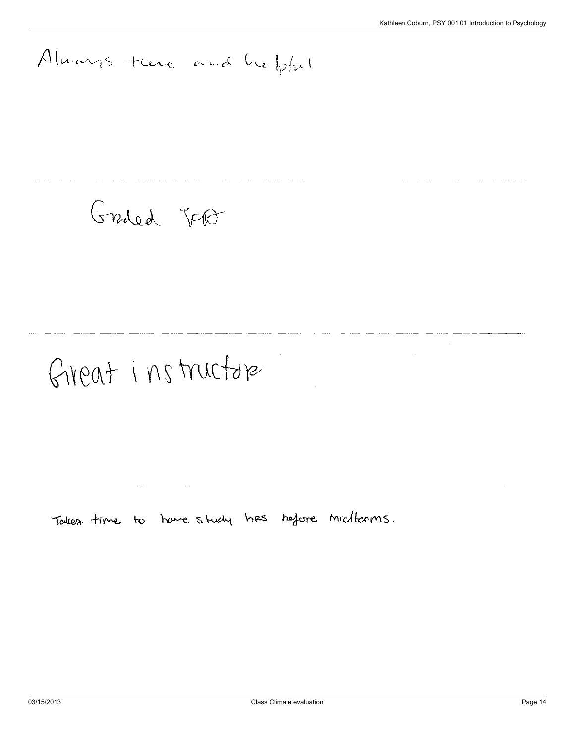## Aluarys trene and helpful

### Graded Jept

## Giveat instructore

Takes time to have study has before midlerms.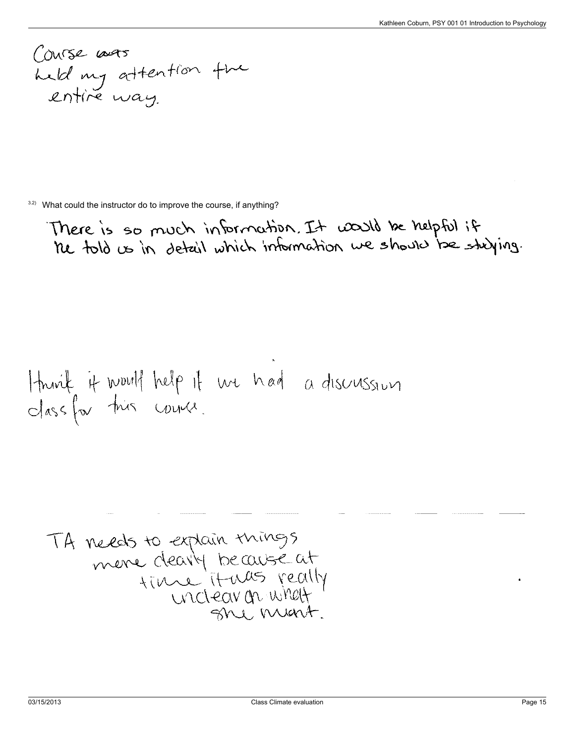Course was<br>held my attention the<br>entire way.

 $3.2$ ) What could the instructor do to improve the course, if anything?

There is so much information. It would be helpful if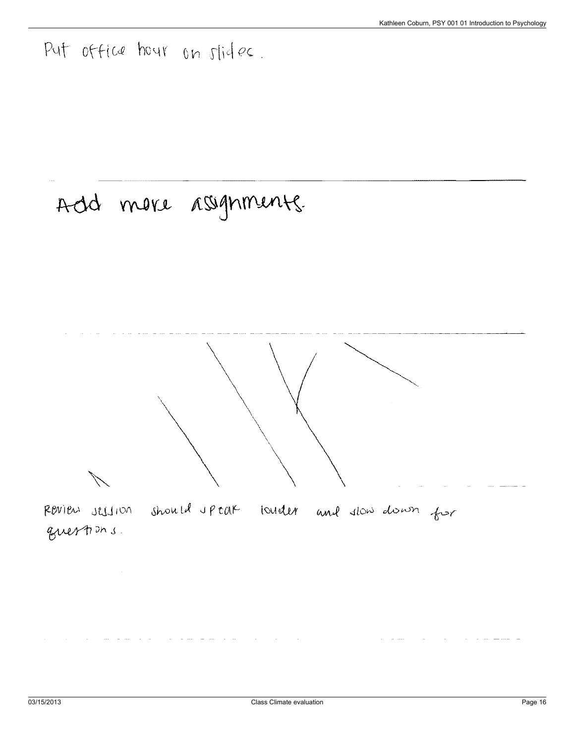Put office hour on slides.

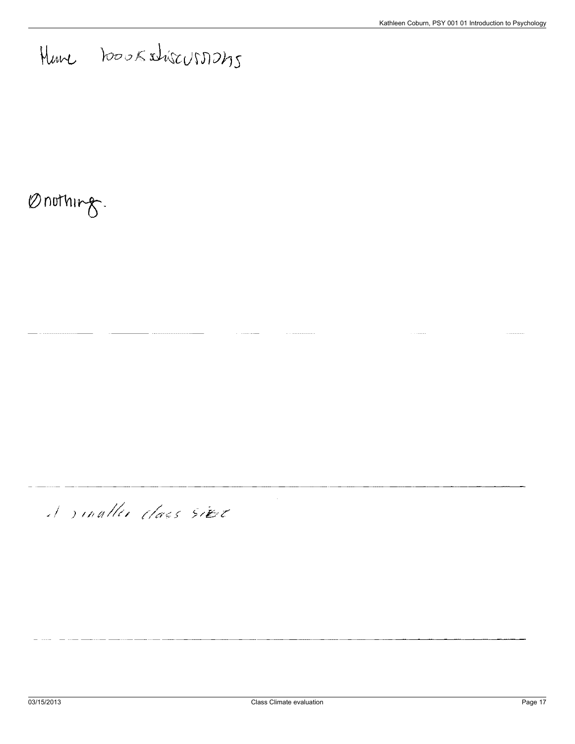Have hooksture usin 245

### Onothing.

### A sinaller class sier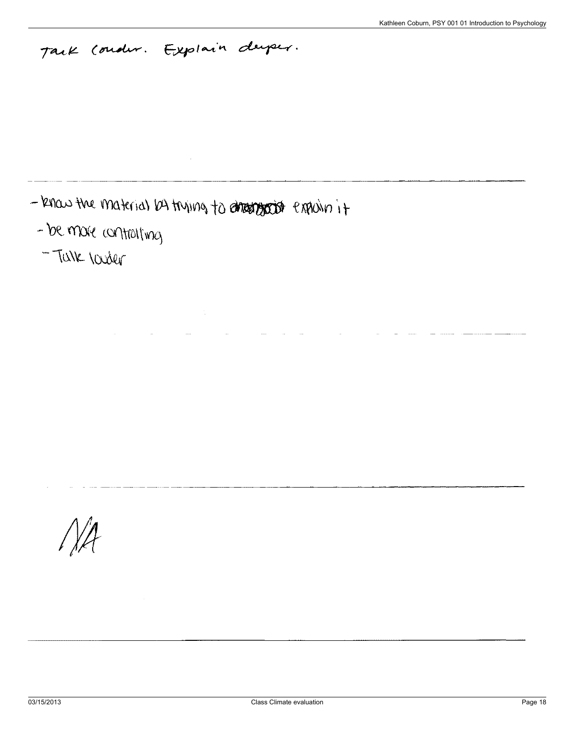### Tack Condur. Explain duper.

- know the material by trying to dreat good exploring it

 $\bar{z}$ 

- be more contraiting
- TUNK looker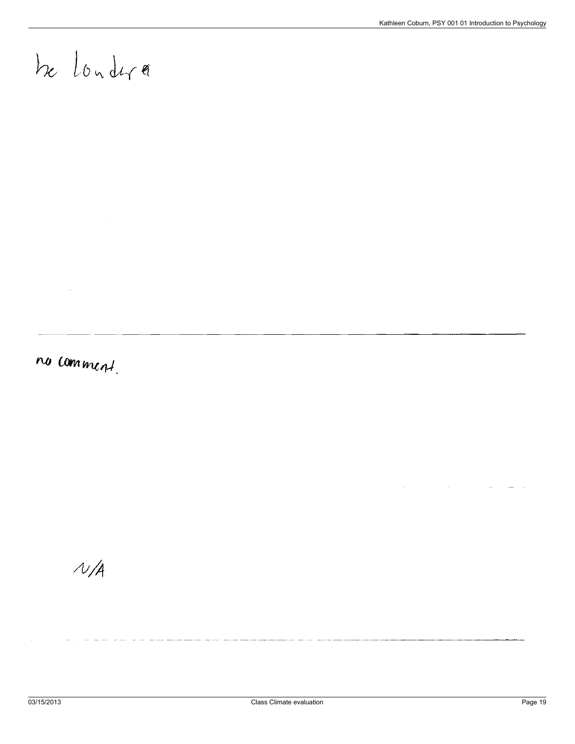## be londer

no comment.

 $\hat{\boldsymbol{\theta}}$ 

 $N/A$ 

 $\mathbf{r}$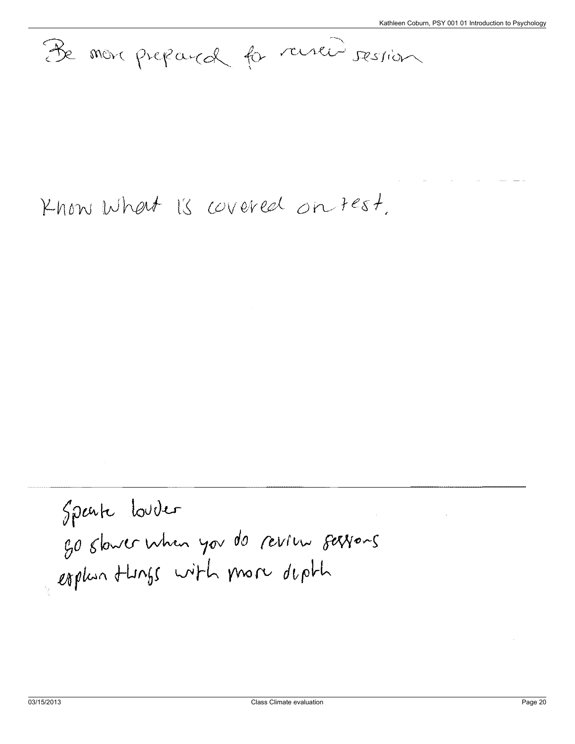De mon prepara for renew session

### Know what is covered on test.

Speak Louder go slower when you do review servous explus tungs with more depth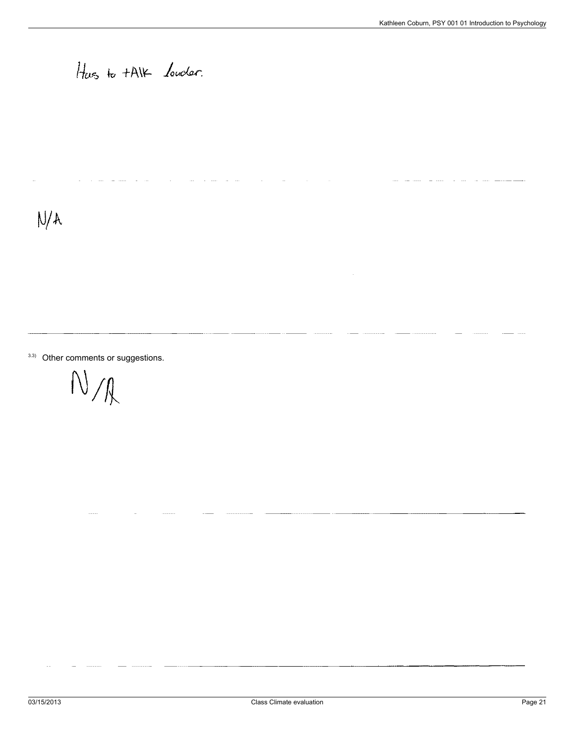#### Has to tAIK louder.

 $\mathbf{r}$ 

 $N/A$ 

 $3.3)$  Other comments or suggestions.

 $N/\ell$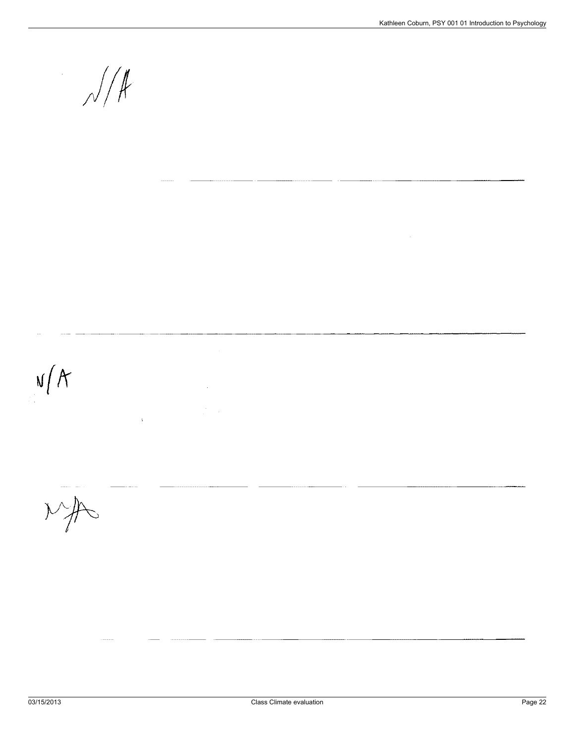$\sqrt{\frac{4}{\pi}}$ 



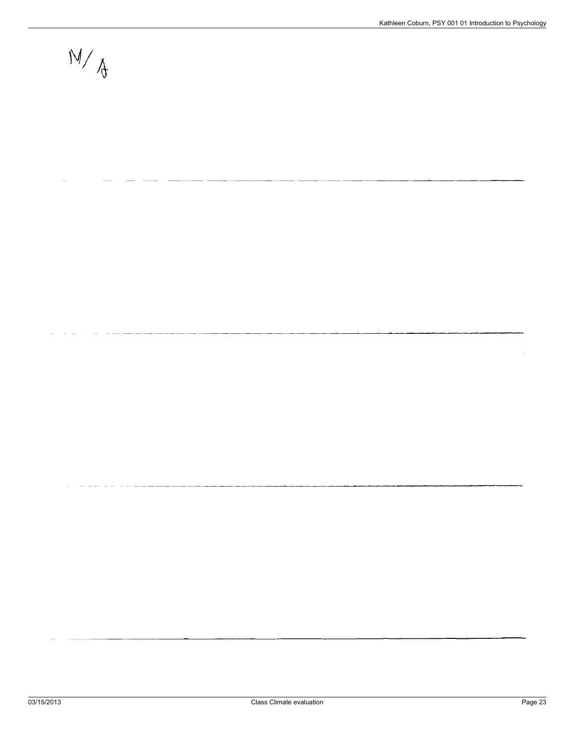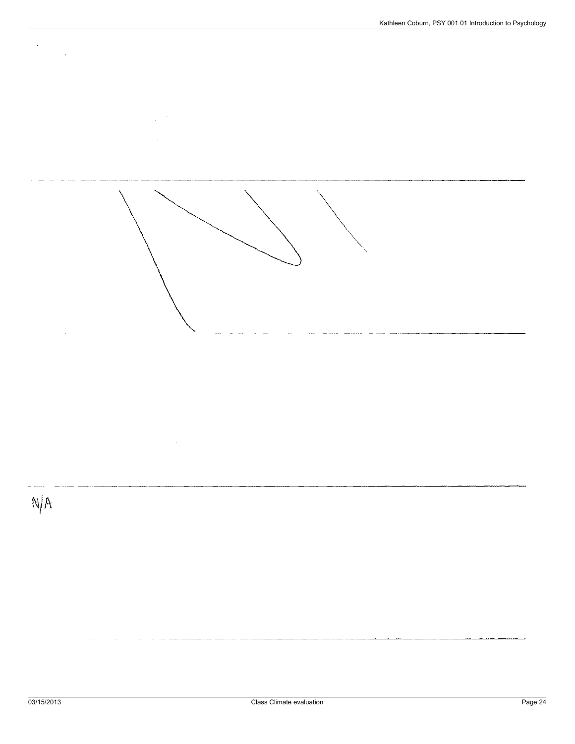





 $\hat{\boldsymbol{\gamma}}$ 

 $\mathcal{A}^{\mathcal{A}}$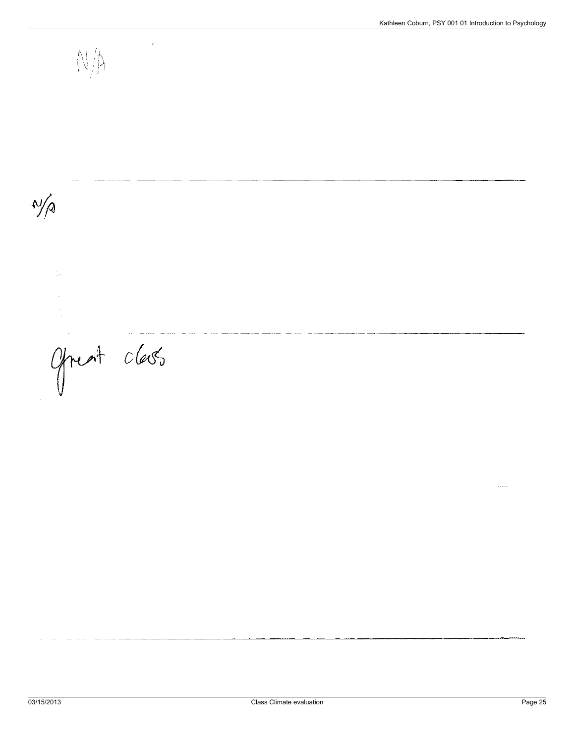$\mathbb{N}/\mathbb{N}$  $\sqrt{\pi}$ Ofreat class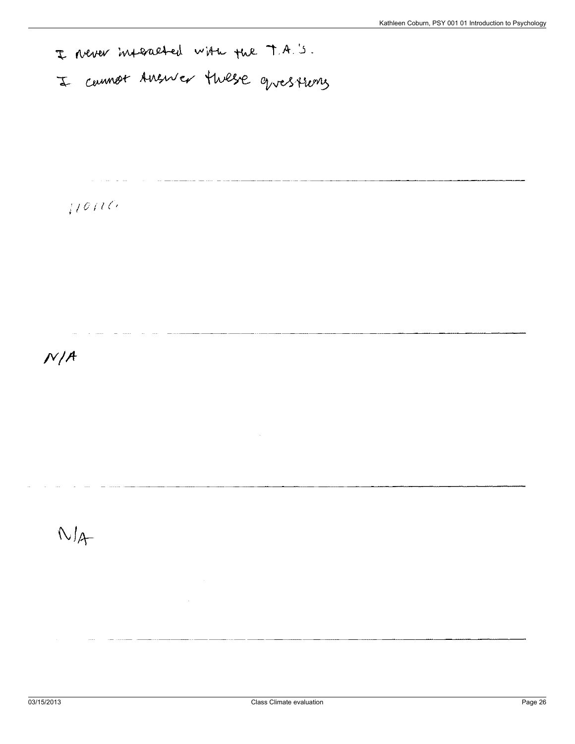I Never interacted with the T.A.'s.

 $10110$ 

 $N/A$ 

 $N/4$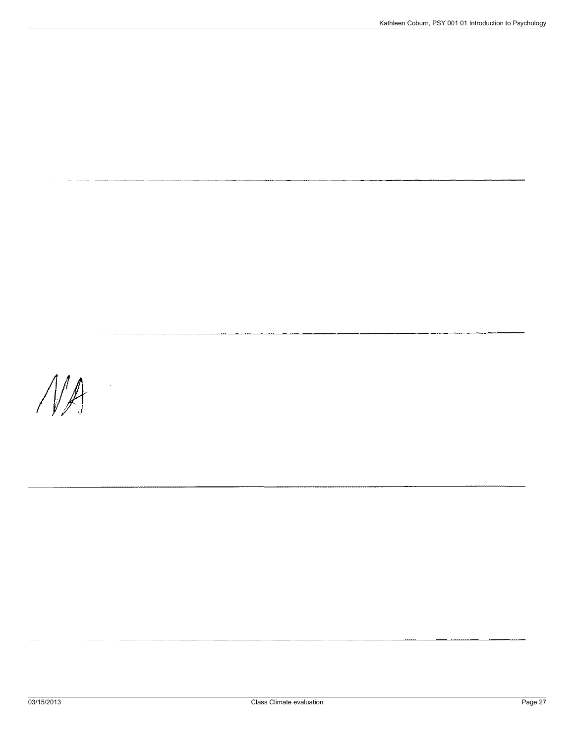$\mathcal{N}\mathcal{A}$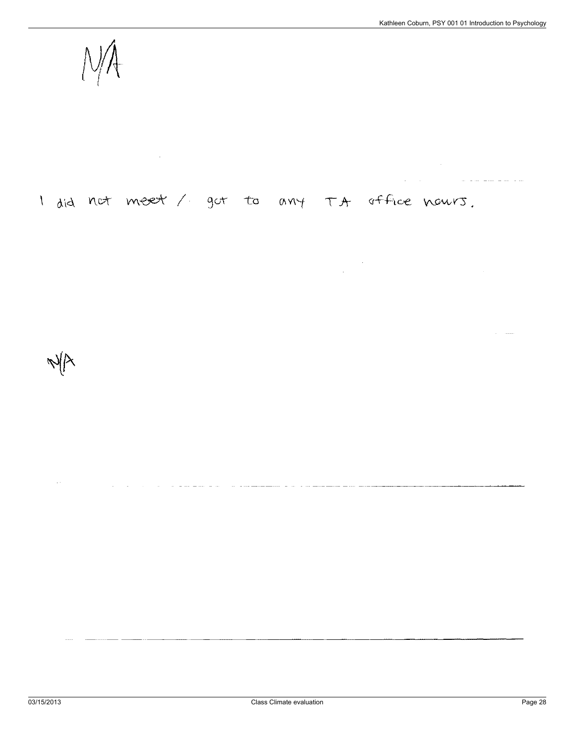<u>a companiente de la c</u>

#### I did not meet / got to any TA office nours.

 $\frac{1}{2}$ 

 $\omega$  , and an  $\omega$ سيد سيد س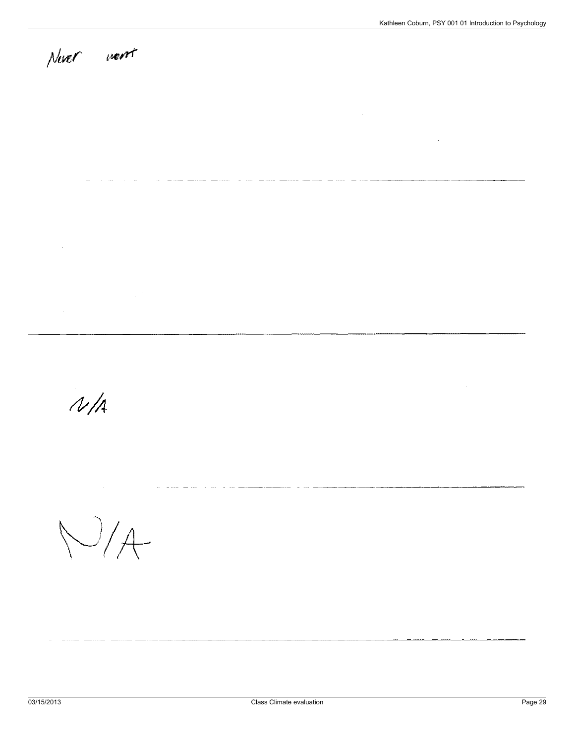### Never went

 $\bar{\lambda}$ 

 $\overline{\phantom{a}}$ a an  $\sim$  $\overline{a}$ 

 $\mathbb{R}^3$ 

- - - -

 $N/A$ 

 $N/A$